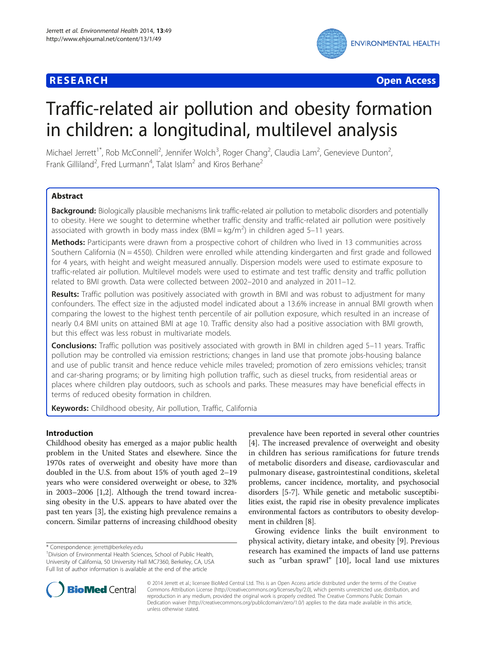# **RESEARCH CHE Open Access**



# Traffic-related air pollution and obesity formation in children: a longitudinal, multilevel analysis

Michael Jerrett<sup>1\*</sup>, Rob McConnell<sup>2</sup>, Jennifer Wolch<sup>3</sup>, Roger Chang<sup>2</sup>, Claudia Lam<sup>2</sup>, Genevieve Dunton<sup>2</sup> , Frank Gilliland<sup>2</sup>, Fred Lurmann<sup>4</sup>, Talat Islam<sup>2</sup> and Kiros Berhane<sup>2</sup>

# **Abstract**

Background: Biologically plausible mechanisms link traffic-related air pollution to metabolic disorders and potentially to obesity. Here we sought to determine whether traffic density and traffic-related air pollution were positively associated with growth in body mass index  $(BMI = kg/m<sup>2</sup>)$  in children aged 5-11 years.

Methods: Participants were drawn from a prospective cohort of children who lived in 13 communities across Southern California (N = 4550). Children were enrolled while attending kindergarten and first grade and followed for 4 years, with height and weight measured annually. Dispersion models were used to estimate exposure to traffic-related air pollution. Multilevel models were used to estimate and test traffic density and traffic pollution related to BMI growth. Data were collected between 2002–2010 and analyzed in 2011–12.

Results: Traffic pollution was positively associated with growth in BMI and was robust to adjustment for many confounders. The effect size in the adjusted model indicated about a 13.6% increase in annual BMI growth when comparing the lowest to the highest tenth percentile of air pollution exposure, which resulted in an increase of nearly 0.4 BMI units on attained BMI at age 10. Traffic density also had a positive association with BMI growth, but this effect was less robust in multivariate models.

**Conclusions:** Traffic pollution was positively associated with growth in BMI in children aged 5–11 years. Traffic pollution may be controlled via emission restrictions; changes in land use that promote jobs-housing balance and use of public transit and hence reduce vehicle miles traveled; promotion of zero emissions vehicles; transit and car-sharing programs; or by limiting high pollution traffic, such as diesel trucks, from residential areas or places where children play outdoors, such as schools and parks. These measures may have beneficial effects in terms of reduced obesity formation in children.

Keywords: Childhood obesity, Air pollution, Traffic, California

# Introduction

Childhood obesity has emerged as a major public health problem in the United States and elsewhere. Since the 1970s rates of overweight and obesity have more than doubled in the U.S. from about 15% of youth aged 2–19 years who were considered overweight or obese, to 32% in 2003–2006 [[1,2\]](#page-7-0). Although the trend toward increasing obesity in the U.S. appears to have abated over the past ten years [\[3](#page-7-0)], the existing high prevalence remains a concern. Similar patterns of increasing childhood obesity

prevalence have been reported in several other countries [[4\]](#page-7-0). The increased prevalence of overweight and obesity in children has serious ramifications for future trends of metabolic disorders and disease, cardiovascular and pulmonary disease, gastrointestinal conditions, skeletal problems, cancer incidence, mortality, and psychosocial disorders [[5-7](#page-7-0)]. While genetic and metabolic susceptibilities exist, the rapid rise in obesity prevalence implicates environmental factors as contributors to obesity development in children [\[8](#page-7-0)].

Growing evidence links the built environment to physical activity, dietary intake, and obesity [[9\]](#page-7-0). Previous research has examined the impacts of land use patterns such as "urban sprawl" [[10\]](#page-7-0), local land use mixtures



© 2014 Jerrett et al.; licensee BioMed Central Ltd. This is an Open Access article distributed under the terms of the Creative Commons Attribution License [\(http://creativecommons.org/licenses/by/2.0\)](http://creativecommons.org/licenses/by/2.0), which permits unrestricted use, distribution, and reproduction in any medium, provided the original work is properly credited. The Creative Commons Public Domain Dedication waiver [\(http://creativecommons.org/publicdomain/zero/1.0/](http://creativecommons.org/publicdomain/zero/1.0/)) applies to the data made available in this article, unless otherwise stated.

<sup>\*</sup> Correspondence: [jerrett@berkeley.edu](mailto:jerrett@berkeley.edu) <sup>1</sup>

<sup>&</sup>lt;sup>1</sup> Division of Environmental Health Sciences, School of Public Health, University of California, 50 University Hall MC7360, Berkeley, CA, USA Full list of author information is available at the end of the article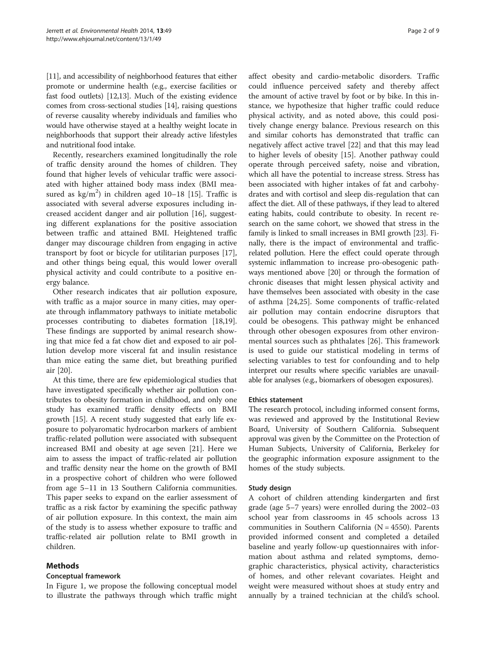[[11](#page-7-0)], and accessibility of neighborhood features that either promote or undermine health (e.g., exercise facilities or fast food outlets) [\[12,13](#page-7-0)]. Much of the existing evidence comes from cross-sectional studies [[14](#page-7-0)], raising questions of reverse causality whereby individuals and families who would have otherwise stayed at a healthy weight locate in neighborhoods that support their already active lifestyles and nutritional food intake.

Recently, researchers examined longitudinally the role of traffic density around the homes of children. They found that higher levels of vehicular traffic were associated with higher attained body mass index (BMI measured as  $\text{kg/m}^2$ ) in children aged 10–18 [[15](#page-7-0)]. Traffic is associated with several adverse exposures including increased accident danger and air pollution [\[16](#page-7-0)], suggesting different explanations for the positive association between traffic and attained BMI. Heightened traffic danger may discourage children from engaging in active transport by foot or bicycle for utilitarian purposes [\[17](#page-7-0)], and other things being equal, this would lower overall physical activity and could contribute to a positive energy balance.

Other research indicates that air pollution exposure, with traffic as a major source in many cities, may operate through inflammatory pathways to initiate metabolic processes contributing to diabetes formation [\[18,19](#page-8-0)]. These findings are supported by animal research showing that mice fed a fat chow diet and exposed to air pollution develop more visceral fat and insulin resistance than mice eating the same diet, but breathing purified air [\[20](#page-8-0)].

At this time, there are few epidemiological studies that have investigated specifically whether air pollution contributes to obesity formation in childhood, and only one study has examined traffic density effects on BMI growth [\[15](#page-7-0)]. A recent study suggested that early life exposure to polyaromatic hydrocarbon markers of ambient traffic-related pollution were associated with subsequent increased BMI and obesity at age seven [\[21\]](#page-8-0). Here we aim to assess the impact of traffic-related air pollution and traffic density near the home on the growth of BMI in a prospective cohort of children who were followed from age 5–11 in 13 Southern California communities. This paper seeks to expand on the earlier assessment of traffic as a risk factor by examining the specific pathway of air pollution exposure. In this context, the main aim of the study is to assess whether exposure to traffic and traffic-related air pollution relate to BMI growth in children.

# Methods

# Conceptual framework

In Figure [1](#page-2-0), we propose the following conceptual model to illustrate the pathways through which traffic might

affect obesity and cardio-metabolic disorders. Traffic could influence perceived safety and thereby affect the amount of active travel by foot or by bike. In this instance, we hypothesize that higher traffic could reduce physical activity, and as noted above, this could positively change energy balance. Previous research on this and similar cohorts has demonstrated that traffic can negatively affect active travel [[22\]](#page-8-0) and that this may lead to higher levels of obesity [[15\]](#page-7-0). Another pathway could operate through perceived safety, noise and vibration, which all have the potential to increase stress. Stress has been associated with higher intakes of fat and carbohydrates and with cortisol and sleep dis-regulation that can affect the diet. All of these pathways, if they lead to altered eating habits, could contribute to obesity. In recent research on the same cohort, we showed that stress in the family is linked to small increases in BMI growth [[23](#page-8-0)]. Finally, there is the impact of environmental and trafficrelated pollution. Here the effect could operate through systemic inflammation to increase pro-obesogenic pathways mentioned above [\[20\]](#page-8-0) or through the formation of chronic diseases that might lessen physical activity and have themselves been associated with obesity in the case of asthma [[24,25\]](#page-8-0). Some components of traffic-related air pollution may contain endocrine disruptors that could be obesogens. This pathway might be enhanced through other obesogen exposures from other environmental sources such as phthalates [[26\]](#page-8-0). This framework is used to guide our statistical modeling in terms of selecting variables to test for confounding and to help interpret our results where specific variables are unavailable for analyses (e.g., biomarkers of obesogen exposures).

# Ethics statement

The research protocol, including informed consent forms, was reviewed and approved by the Institutional Review Board, University of Southern California. Subsequent approval was given by the Committee on the Protection of Human Subjects, University of California, Berkeley for the geographic information exposure assignment to the homes of the study subjects.

# Study design

A cohort of children attending kindergarten and first grade (age 5–7 years) were enrolled during the 2002–03 school year from classrooms in 45 schools across 13 communities in Southern California ( $N = 4550$ ). Parents provided informed consent and completed a detailed baseline and yearly follow-up questionnaires with information about asthma and related symptoms, demographic characteristics, physical activity, characteristics of homes, and other relevant covariates. Height and weight were measured without shoes at study entry and annually by a trained technician at the child's school.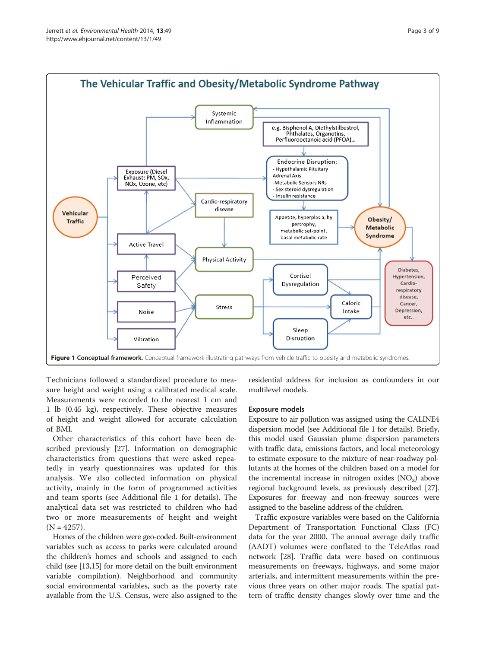<span id="page-2-0"></span>

Technicians followed a standardized procedure to measure height and weight using a calibrated medical scale. Measurements were recorded to the nearest 1 cm and 1 lb (0.45 kg), respectively. These objective measures of height and weight allowed for accurate calculation of BMI.

Other characteristics of this cohort have been described previously [\[27](#page-8-0)]. Information on demographic characteristics from questions that were asked repeatedly in yearly questionnaires was updated for this analysis. We also collected information on physical activity, mainly in the form of programmed activities and team sports (see Additional file [1](#page-7-0) for details). The analytical data set was restricted to children who had two or more measurements of height and weight  $(N = 4257)$ .

Homes of the children were geo-coded. Built-environment variables such as access to parks were calculated around the children's homes and schools and assigned to each child (see [\[13,15\]](#page-7-0) for more detail on the built environment variable compilation). Neighborhood and community social environmental variables, such as the poverty rate available from the U.S. Census, were also assigned to the residential address for inclusion as confounders in our multilevel models.

#### Exposure models

Exposure to air pollution was assigned using the CALINE4 dispersion model (see Additional file [1](#page-7-0) for details). Briefly, this model used Gaussian plume dispersion parameters with traffic data, emissions factors, and local meteorology to estimate exposure to the mixture of near-roadway pollutants at the homes of the children based on a model for the incremental increase in nitrogen oxides  $(NO_x)$  above regional background levels, as previously described [[27](#page-8-0)]. Exposures for freeway and non-freeway sources were assigned to the baseline address of the children.

Traffic exposure variables were based on the California Department of Transportation Functional Class (FC) data for the year 2000. The annual average daily traffic (AADT) volumes were conflated to the TeleAtlas road network [[28\]](#page-8-0). Traffic data were based on continuous measurements on freeways, highways, and some major arterials, and intermittent measurements within the previous three years on other major roads. The spatial pattern of traffic density changes slowly over time and the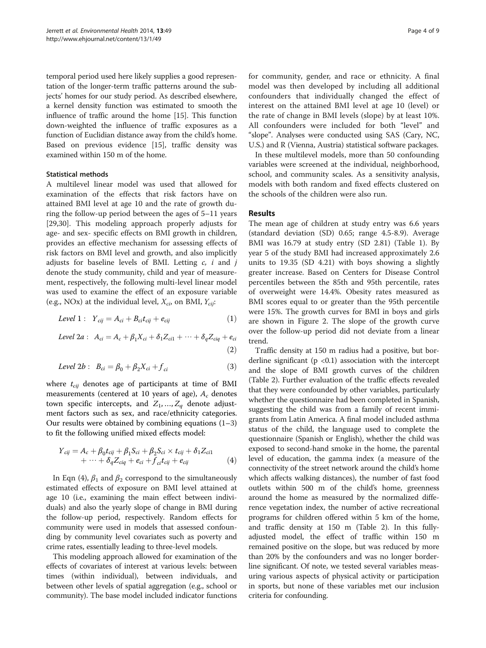temporal period used here likely supplies a good representation of the longer-term traffic patterns around the subjects' homes for our study period. As described elsewhere, a kernel density function was estimated to smooth the influence of traffic around the home [\[15\]](#page-7-0). This function down-weighted the influence of traffic exposures as a function of Euclidian distance away from the child's home. Based on previous evidence [\[15\]](#page-7-0), traffic density was examined within 150 m of the home.

#### Statistical methods

A multilevel linear model was used that allowed for examination of the effects that risk factors have on attained BMI level at age 10 and the rate of growth during the follow-up period between the ages of 5–11 years [[29,30\]](#page-8-0). This modeling approach properly adjusts for age- and sex- specific effects on BMI growth in children, provides an effective mechanism for assessing effects of risk factors on BMI level and growth, and also implicitly adjusts for baseline levels of BMI. Letting  $c$ ,  $i$  and  $j$ denote the study community, child and year of measurement, respectively, the following multi-level linear model was used to examine the effect of an exposure variable (e.g., NOx) at the individual level,  $X_{ci}$ , on BMI,  $Y_{cii}$ :

$$
Level 1: Y_{cij} = A_{ci} + B_{ci}t_{cij} + e_{cij}
$$
 (1)

Level 2a : 
$$
A_{ci} = A_c + \beta_1 X_{ci} + \delta_1 Z_{ci1} + \cdots + \delta_q Z_{ciq} + e_{ci}
$$

 $(2)$ 

$$
Level\ 2b: B_{ci} = \beta_0 + \beta_2 X_{ci} + f_{ci}
$$
 (3)

where  $t_{cij}$  denotes age of participants at time of BMI measurements (centered at 10 years of age),  $A_c$  denotes town specific intercepts, and  $Z_1, ..., Z_q$  denote adjustment factors such as sex, and race/ethnicity categories. Our results were obtained by combining equations  $(1-3)$ to fit the following unified mixed effects model:

$$
Y_{cij} = A_c + \beta_0 t_{cij} + \beta_1 S_{ci} + \beta_2 S_{ci} \times t_{cij} + \delta_1 Z_{ci1} + \cdots + \delta_q Z_{ciq} + e_{ci} + f_{ci} t_{cij} + e_{cij}
$$
(4)

In Eqn (4),  $\beta_1$  and  $\beta_2$  correspond to the simultaneously estimated effects of exposure on BMI level attained at age 10 (i.e., examining the main effect between individuals) and also the yearly slope of change in BMI during the follow-up period, respectively. Random effects for community were used in models that assessed confounding by community level covariates such as poverty and crime rates, essentially leading to three-level models.

This modeling approach allowed for examination of the effects of covariates of interest at various levels: between times (within individual), between individuals, and between other levels of spatial aggregation (e.g., school or community). The base model included indicator functions

for community, gender, and race or ethnicity. A final model was then developed by including all additional confounders that individually changed the effect of interest on the attained BMI level at age 10 (level) or the rate of change in BMI levels (slope) by at least 10%. All confounders were included for both "level" and "slope". Analyses were conducted using SAS (Cary, NC, U.S.) and R (Vienna, Austria) statistical software packages.

In these multilevel models, more than 50 confounding variables were screened at the individual, neighborhood, school, and community scales. As a sensitivity analysis, models with both random and fixed effects clustered on the schools of the children were also run.

# **Results**

The mean age of children at study entry was 6.6 years (standard deviation (SD) 0.65; range 4.5-8.9). Average BMI was 16.79 at study entry (SD 2.81) (Table [1](#page-4-0)). By year 5 of the study BMI had increased approximately 2.6 units to 19.35 (SD 4.21) with boys showing a slightly greater increase. Based on Centers for Disease Control percentiles between the 85th and 95th percentile, rates of overweight were 14.4%. Obesity rates measured as BMI scores equal to or greater than the 95th percentile were 15%. The growth curves for BMI in boys and girls are shown in Figure [2](#page-5-0). The slope of the growth curve over the follow-up period did not deviate from a linear trend.

Traffic density at 150 m radius had a positive, but borderline significant ( $p \lt 0.1$ ) association with the intercept and the slope of BMI growth curves of the children (Table [2\)](#page-5-0). Further evaluation of the traffic effects revealed that they were confounded by other variables, particularly whether the questionnaire had been completed in Spanish, suggesting the child was from a family of recent immigrants from Latin America. A final model included asthma status of the child, the language used to complete the questionnaire (Spanish or English), whether the child was exposed to second-hand smoke in the home, the parental level of education, the gamma index (a measure of the connectivity of the street network around the child's home which affects walking distances), the number of fast food outlets within 500 m of the child's home, greenness around the home as measured by the normalized difference vegetation index, the number of active recreational programs for children offered within 5 km of the home, and traffic density at 150 m (Table [2](#page-5-0)). In this fullyadjusted model, the effect of traffic within 150 m remained positive on the slope, but was reduced by more than 20% by the confounders and was no longer borderline significant. Of note, we tested several variables measuring various aspects of physical activity or participation in sports, but none of these variables met our inclusion criteria for confounding.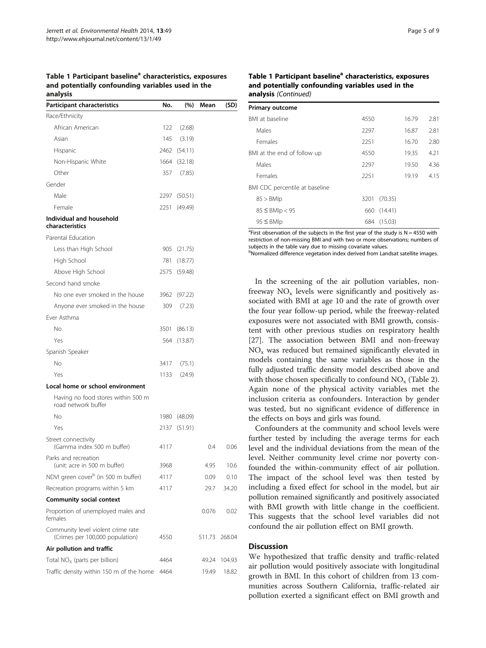<span id="page-4-0"></span>Table 1 Participant baseline<sup>a</sup> characteristics, exposures and potentially confounding variables used in the analysis

| Participant characteristics                                           | No.  | $(\% )$      | Mean   | (SD)   |
|-----------------------------------------------------------------------|------|--------------|--------|--------|
| Race/Ethnicity                                                        |      |              |        |        |
| African American                                                      | 122  | (2.68)       |        |        |
| Asian                                                                 | 145  | (3.19)       |        |        |
| Hispanic                                                              |      | 2462 (54.11) |        |        |
| Non-Hispanic White                                                    |      | 1664 (32.18) |        |        |
| Other                                                                 | 357  | (7.85)       |        |        |
| Gender                                                                |      |              |        |        |
| Male                                                                  |      | 2297 (50.51) |        |        |
| Female                                                                | 2251 | (49.49)      |        |        |
| Individual and household<br>characteristics                           |      |              |        |        |
| Parental Education                                                    |      |              |        |        |
| Less than High School                                                 |      | 905 (21.75)  |        |        |
| High School                                                           | 781  | (18.77)      |        |        |
| Above High School                                                     | 2575 | (59.48)      |        |        |
| Second hand smoke                                                     |      |              |        |        |
| No one ever smoked in the house                                       |      | 3962 (97.22) |        |        |
| Anyone ever smoked in the house                                       | 309  | (7.23)       |        |        |
| Ever Asthma                                                           |      |              |        |        |
| Nο                                                                    | 3501 | (86.13)      |        |        |
| Yes                                                                   | 564  | (13.87)      |        |        |
| Spanish Speaker                                                       |      |              |        |        |
| Nο                                                                    | 3417 | (75.1)       |        |        |
| Yes                                                                   | 1133 | (24.9)       |        |        |
| Local home or school environment                                      |      |              |        |        |
| Having no food stores within 500 m<br>road network buffer             |      |              |        |        |
| No                                                                    |      | 1980 (48.09) |        |        |
| Yes                                                                   |      | 2137 (51.91) |        |        |
| Street connectivity<br>(Gamma index 500 m buffer)                     | 4117 |              | 0.4    | 0.06   |
| Parks and recreation<br>(unit: acre in 500 m buffer)                  | 3968 |              | 4.95   | 10.6   |
| NDVI green cover <sup>b</sup> (in 500 m buffer)                       | 4117 |              | 0.09   | 0.10   |
| Recreation programs within 5 km                                       | 4117 |              | 29.7   | 34.20  |
| Community social context                                              |      |              |        |        |
| Proportion of unemployed males and<br>females                         |      |              | 0.076  | 0.02   |
| Community level violent crime rate<br>(Crimes per 100,000 population) | 4550 |              | 511.73 | 268.04 |
| Air pollution and traffic                                             |      |              |        |        |
| Total $NOx$ (parts per billion)                                       | 4464 |              | 49.24  | 104.93 |
| Traffic density within 150 m of the home                              | 4464 |              | 19.49  | 18.82  |

## Table 1 Participant baseline<sup>a</sup> characteristics, exposures and potentially confounding variables used in the analysis (Continued)

| <b>Primary outcome</b>         |      |         |       |      |
|--------------------------------|------|---------|-------|------|
| BMI at baseline                | 4550 |         | 16.79 | 2.81 |
| Males                          | 2297 |         | 16.87 | 2.81 |
| <b>Females</b>                 | 2251 |         | 16.70 | 2.80 |
| BMI at the end of follow up    | 4550 |         | 19.35 | 4.21 |
| Males                          | 2297 |         | 19.50 | 4.36 |
| Females                        | 2251 |         | 19.19 | 4.15 |
| BMI CDC percentile at baseline |      |         |       |      |
| 85 > BMIp                      | 3201 | (70.35) |       |      |
| $85 \leq$ BMIp $< 95$          | 660  | (14.41) |       |      |
| $95 \leq$ BMIp                 | 684  | (15.03) |       |      |

<sup>a</sup>First observation of the subjects in the first year of the study is  $N = 4550$  with restriction of non-missing BMI and with two or more observations; numbers of subjects in the table vary due to missing covariate values.

**bNormalized difference vegetation index derived from Landsat satellite images** 

In the screening of the air pollution variables, nonfreeway  $NO<sub>x</sub>$  levels were significantly and positively associated with BMI at age 10 and the rate of growth over the four year follow-up period, while the freeway-related exposures were not associated with BMI growth, consistent with other previous studies on respiratory health [[27\]](#page-8-0). The association between BMI and non-freeway  $NO<sub>x</sub>$  was reduced but remained significantly elevated in models containing the same variables as those in the fully adjusted traffic density model described above and with those chosen specifically to confound  $NO<sub>x</sub>$  (Table [2](#page-5-0)). Again none of the physical activity variables met the inclusion criteria as confounders. Interaction by gender was tested, but no significant evidence of difference in the effects on boys and girls was found.

Confounders at the community and school levels were further tested by including the average terms for each level and the individual deviations from the mean of the level. Neither community level crime nor poverty confounded the within-community effect of air pollution. The impact of the school level was then tested by including a fixed effect for school in the model, but air pollution remained significantly and positively associated with BMI growth with little change in the coefficient. This suggests that the school level variables did not confound the air pollution effect on BMI growth.

#### **Discussion**

We hypothesized that traffic density and traffic-related air pollution would positively associate with longitudinal growth in BMI. In this cohort of children from 13 communities across Southern California, traffic-related air pollution exerted a significant effect on BMI growth and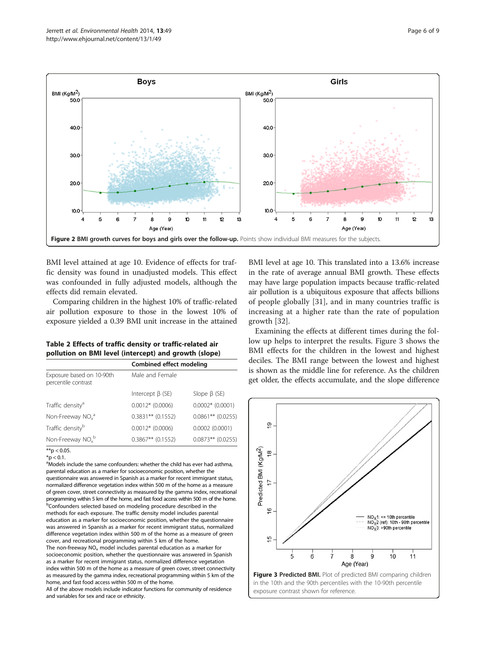<span id="page-5-0"></span>

BMI level attained at age 10. Evidence of effects for traffic density was found in unadjusted models. This effect was confounded in fully adjusted models, although the effects did remain elevated.

Comparing children in the highest 10% of traffic-related air pollution exposure to those in the lowest 10% of exposure yielded a 0.39 BMI unit increase in the attained

Table 2 Effects of traffic density or traffic-related air pollution on BMI level (intercept) and growth (slope)

|                                                  | Combined effect modeling |                     |  |
|--------------------------------------------------|--------------------------|---------------------|--|
| Exposure based on 10-90th<br>percentile contrast | Male and Female          |                     |  |
|                                                  | Intercept $\beta$ (SE)   | Slope $\beta$ (SE)  |  |
| Traffic density <sup>a</sup>                     | $0.0012*$ (0.0006)       | $0.0002*$ (0.0001)  |  |
| Non-Freeway $NOxa$                               | $0.3831**$ (0.1552)      | $0.0861**$ (0.0255) |  |
| Traffic density <sup>b</sup>                     | $0.0012*$ (0.0006)       | 0.0002(0.0001)      |  |
| Non-Freeway $NOx$ <sup>b</sup>                   | $0.3867**$ (0.1552)      | $0.0873**$ (0.0255) |  |

 $*$ <sub>\*\*</sub>p < 0.05.

 $*$ p < 0.1.

<sup>a</sup>Models include the same confounders: whether the child has ever had asthma, parental education as a marker for socioeconomic position, whether the questionnaire was answered in Spanish as a marker for recent immigrant status, normalized difference vegetation index within 500 m of the home as a measure of green cover, street connectivity as measured by the gamma index, recreational programming within 5 km of the home, and fast food access within 500 m of the home. **bConfounders selected based on modeling procedure described in the** methods for each exposure. The traffic density model includes parental education as a marker for socioeconomic position, whether the questionnaire was answered in Spanish as a marker for recent immigrant status, normalized difference vegetation index within 500 m of the home as a measure of green cover, and recreational programming within 5 km of the home. The non-freeway  $NO<sub>x</sub>$  model includes parental education as a marker for socioeconomic position, whether the questionnaire was answered in Spanish as a marker for recent immigrant status, normalized difference vegetation index within 500 m of the home as a measure of green cover, street connectivity as measured by the gamma index, recreational programming within 5 km of the home, and fast food access within 500 m of the home.

All of the above models include indicator functions for community of residence and variables for sex and race or ethnicity.

BMI level at age 10. This translated into a 13.6% increase in the rate of average annual BMI growth. These effects may have large population impacts because traffic-related air pollution is a ubiquitous exposure that affects billions of people globally [\[31](#page-8-0)], and in many countries traffic is increasing at a higher rate than the rate of population growth [[32](#page-8-0)].

Examining the effects at different times during the follow up helps to interpret the results. Figure 3 shows the BMI effects for the children in the lowest and highest deciles. The BMI range between the lowest and highest is shown as the middle line for reference. As the children get older, the effects accumulate, and the slope difference

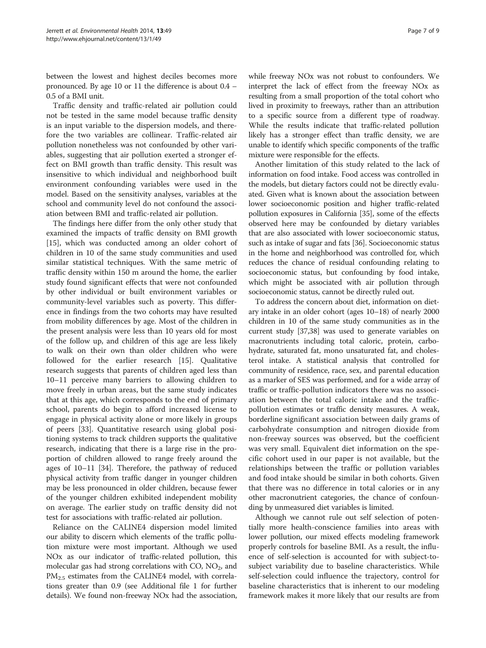between the lowest and highest deciles becomes more pronounced. By age 10 or 11 the difference is about 0.4 – 0.5 of a BMI unit.

Traffic density and traffic-related air pollution could not be tested in the same model because traffic density is an input variable to the dispersion models, and therefore the two variables are collinear. Traffic-related air pollution nonetheless was not confounded by other variables, suggesting that air pollution exerted a stronger effect on BMI growth than traffic density. This result was insensitive to which individual and neighborhood built environment confounding variables were used in the model. Based on the sensitivity analyses, variables at the school and community level do not confound the association between BMI and traffic-related air pollution.

The findings here differ from the only other study that examined the impacts of traffic density on BMI growth [[15\]](#page-7-0), which was conducted among an older cohort of children in 10 of the same study communities and used similar statistical techniques. With the same metric of traffic density within 150 m around the home, the earlier study found significant effects that were not confounded by other individual or built environment variables or community-level variables such as poverty. This difference in findings from the two cohorts may have resulted from mobility differences by age. Most of the children in the present analysis were less than 10 years old for most of the follow up, and children of this age are less likely to walk on their own than older children who were followed for the earlier research [\[15\]](#page-7-0). Qualitative research suggests that parents of children aged less than 10–11 perceive many barriers to allowing children to move freely in urban areas, but the same study indicates that at this age, which corresponds to the end of primary school, parents do begin to afford increased license to engage in physical activity alone or more likely in groups of peers [\[33](#page-8-0)]. Quantitative research using global positioning systems to track children supports the qualitative research, indicating that there is a large rise in the proportion of children allowed to range freely around the ages of 10–11 [[34\]](#page-8-0). Therefore, the pathway of reduced physical activity from traffic danger in younger children may be less pronounced in older children, because fewer of the younger children exhibited independent mobility on average. The earlier study on traffic density did not test for associations with traffic-related air pollution.

Reliance on the CALINE4 dispersion model limited our ability to discern which elements of the traffic pollution mixture were most important. Although we used NOx as our indicator of traffic-related pollution, this molecular gas had strong correlations with  $CO$ ,  $NO<sub>2</sub>$ , and PM<sub>2.5</sub> estimates from the CALINE4 model, with correlations greater than 0.9 (see Additional file [1](#page-7-0) for further details). We found non-freeway NOx had the association,

while freeway NOx was not robust to confounders. We interpret the lack of effect from the freeway NOx as resulting from a small proportion of the total cohort who lived in proximity to freeways, rather than an attribution to a specific source from a different type of roadway. While the results indicate that traffic-related pollution likely has a stronger effect than traffic density, we are unable to identify which specific components of the traffic mixture were responsible for the effects.

Another limitation of this study related to the lack of information on food intake. Food access was controlled in the models, but dietary factors could not be directly evaluated. Given what is known about the association between lower socioeconomic position and higher traffic-related pollution exposures in California [[35](#page-8-0)], some of the effects observed here may be confounded by dietary variables that are also associated with lower socioeconomic status, such as intake of sugar and fats [[36](#page-8-0)]. Socioeconomic status in the home and neighborhood was controlled for, which reduces the chance of residual confounding relating to socioeconomic status, but confounding by food intake, which might be associated with air pollution through socioeconomic status, cannot be directly ruled out.

To address the concern about diet, information on dietary intake in an older cohort (ages 10–18) of nearly 2000 children in 10 of the same study communities as in the current study [[37,38\]](#page-8-0) was used to generate variables on macronutrients including total caloric, protein, carbohydrate, saturated fat, mono unsaturated fat, and cholesterol intake. A statistical analysis that controlled for community of residence, race, sex, and parental education as a marker of SES was performed, and for a wide array of traffic or traffic-pollution indicators there was no association between the total caloric intake and the trafficpollution estimates or traffic density measures. A weak, borderline significant association between daily grams of carbohydrate consumption and nitrogen dioxide from non-freeway sources was observed, but the coefficient was very small. Equivalent diet information on the specific cohort used in our paper is not available, but the relationships between the traffic or pollution variables and food intake should be similar in both cohorts. Given that there was no difference in total calories or in any other macronutrient categories, the chance of confounding by unmeasured diet variables is limited.

Although we cannot rule out self selection of potentially more health-conscience families into areas with lower pollution, our mixed effects modeling framework properly controls for baseline BMI. As a result, the influence of self-selection is accounted for with subject-tosubject variability due to baseline characteristics. While self-selection could influence the trajectory, control for baseline characteristics that is inherent to our modeling framework makes it more likely that our results are from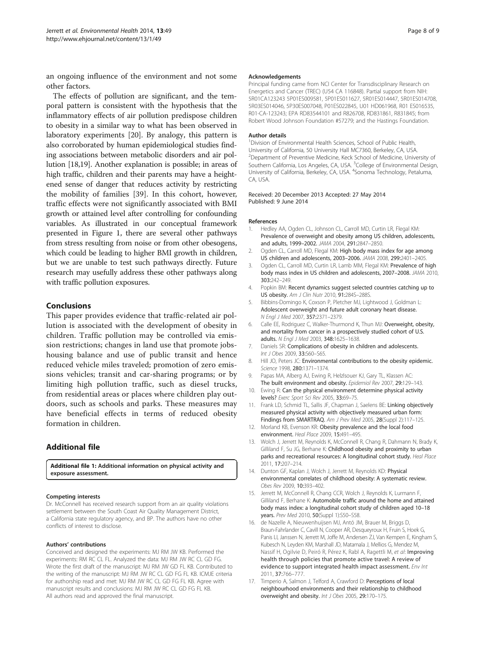<span id="page-7-0"></span>an ongoing influence of the environment and not some other factors.

The effects of pollution are significant, and the temporal pattern is consistent with the hypothesis that the inflammatory effects of air pollution predispose children to obesity in a similar way to what has been observed in laboratory experiments [\[20\]](#page-8-0). By analogy, this pattern is also corroborated by human epidemiological studies finding associations between metabolic disorders and air pollution [\[18,19\]](#page-8-0). Another explanation is possible; in areas of high traffic, children and their parents may have a heightened sense of danger that reduces activity by restricting the mobility of families [\[39](#page-8-0)]. In this cohort, however, traffic effects were not significantly associated with BMI growth or attained level after controlling for confounding variables. As illustrated in our conceptual framework presented in Figure [1](#page-2-0), there are several other pathways from stress resulting from noise or from other obesogens, which could be leading to higher BMI growth in children, but we are unable to test such pathways directly. Future research may usefully address these other pathways along with traffic pollution exposures.

# Conclusions

This paper provides evidence that traffic-related air pollution is associated with the development of obesity in children. Traffic pollution may be controlled via emission restrictions; changes in land use that promote jobshousing balance and use of public transit and hence reduced vehicle miles traveled; promotion of zero emissions vehicles; transit and car-sharing programs; or by limiting high pollution traffic, such as diesel trucks, from residential areas or places where children play outdoors, such as schools and parks. These measures may have beneficial effects in terms of reduced obesity formation in children.

# Additional file

[Additional file 1:](http://www.biomedcentral.com/content/supplementary/1476-069X-13-49-S1.pdf) Additional information on physical activity and exposure assessment.

#### Competing interests

Dr. McConnell has received research support from an air quality violations settlement between the South Coast Air Quality Management District, a California state regulatory agency, and BP. The authors have no other conflicts of interest to disclose.

#### Authors' contributions

Conceived and designed the experiments: MJ RM JW KB. Performed the experiments: RM RC CL FL. Analyzed the data: MJ RM JW RC CL GD FG. Wrote the first draft of the manuscript: MJ RM JW GD FL KB. Contributed to the writing of the manuscript: MJ RM JW RC CL GD FG FL KB. ICMJE criteria for authorship read and met: MJ RM JW RC CL GD FG FL KB. Agree with manuscript results and conclusions: MJ RM JW RC CL GD FG FL KB. All authors read and approved the final manuscript.

#### Acknowledgements

Principal funding came from NCI Center for Transdisciplinary Research on Energetics and Cancer (TREC) (U54 CA 116848). Partial support from NIH: 5R01CA123243 5P01ES009581, 5P01ES011627, 5R01ES014447, 5R01ES014708, 5R03ES014046, 5P30ES007048, P01ES022845, U01 HD061968, R01 ES016535, R01-CA-123243; EPA RD83544101 and R826708, RD831861, R831845; from Robert Wood Johnson Foundation #57279; and the Hastings Foundation.

#### Author details

<sup>1</sup> Division of Environmental Health Sciences, School of Public Health University of California, 50 University Hall MC7360, Berkeley, CA, USA. <sup>2</sup>Department of Preventive Medicine, Keck School of Medicine, University of Southern California, Los Angeles, CA, USA. <sup>3</sup>College of Environmental Design University of California, Berkeley, CA, USA. <sup>4</sup>Sonoma Technology, Petaluma, CA, USA.

Received: 20 December 2013 Accepted: 27 May 2014 Published: 9 June 2014

#### References

- 1. Hedley AA, Ogden CL, Johnson CL, Carroll MD, Curtin LR, Flegal KM: Prevalence of overweight and obesity among US children, adolescents, and adults, 1999–2002. JAMA 2004, 291:2847–2850.
- 2. Ogden CL, Carroll MD, Flegal KM: High body mass index for age among US children and adolescents, 2003–2006. JAMA 2008, 299:2401–2405.
- 3. Ogden CL, Carroll MD, Curtin LR, Lamb MM, Flegal KM: Prevalence of high body mass index in US children and adolescents, 2007–2008. JAMA 2010, 303:242–249.
- 4. Popkin BM: Recent dynamics suggest selected countries catching up to US obesity. Am J Clin Nutr 2010, 91:2845-2885.
- 5. Bibbins-Domingo K, Coxson P, Pletcher MJ, Lightwood J, Goldman L: Adolescent overweight and future adult coronary heart disease. N Engl J Med 2007, 357:2371–2379.
- 6. Calle EE, Rodriguez C, Walker-Thurmond K, Thun MJ: Overweight, obesity, and mortality from cancer in a prospectively studied cohort of U.S. adults. N Engl J Med 2003, 348:1625–1638.
- 7. Daniels SR: Complications of obesity in children and adolescents. Int J Obes 2009, 33:S60–S65.
- 8. Hill JO, Peters JC: Environmental contributions to the obesity epidemic. Science 1998, 280:1371–1374.
- Papas MA, Alberg AJ, Ewing R, Helzlsouer KJ, Gary TL, Klassen AC: The built environment and obesity. Epidemiol Rev 2007, 29:129-143.
- 10. Ewing R: Can the physical environment determine physical activity levels? Exerc Sport Sci Rev 2005, 33:69–75.
- 11. Frank LD, Schmid TL, Sallis JF, Chapman J, Saelens BE: Linking objectively measured physical activity with objectively measured urban form: Findings from SMARTRAQ. Am J Prev Med 2005, 28(Suppl 2):117–125.
- 12. Morland KB, Evenson KR: Obesity prevalence and the local food environment. Heal Place 2009, 15:491–495.
- 13. Wolch J, Jerrett M, Reynolds K, McConnell R, Chang R, Dahmann N, Brady K, Gilliland F, Su JG, Berhane K: Childhood obesity and proximity to urban parks and recreational resources: A longitudinal cohort study. Heal Place 2011, 17:207–214.
- 14. Dunton GF, Kaplan J, Wolch J, Jerrett M, Reynolds KD: Physical environmental correlates of childhood obesity: A systematic review. Obes Rev 2009, 10:393–402.
- 15. Jerrett M, McConnell R, Chang CCR, Wolch J, Reynolds K, Lurmann F, Gilliland F, Berhane K: Automobile traffic around the home and attained body mass index: a longitudinal cohort study of children aged 10–18 years. Prev Med 2010, 50(Suppl 1):S50-S58.
- 16. de Nazelle A, Nieuwenhuijsen MJ, Antó JM, Brauer M, Briggs D, Braun-Fahrlander C, Cavill N, Cooper AR, Desqueyroux H, Fruin S, Hoek G, Panis LI, Janssen N, Jerrett M, Joffe M, Andersen ZJ, Van Kempen E, Kingham S, Kubesch N, Leyden KM, Marshall JD, Matamala J, Mellios G, Mendez M, Nassif H, Ogilvie D, Peiró R, Pérez K, Rabl A, Ragettli M, et al: Improving health through policies that promote active travel: A review of evidence to support integrated health impact assessment. Env Int 2011, 37:766–777.
- 17. Timperio A, Salmon J, Telford A, Crawford D: Perceptions of local neighbourhood environments and their relationship to childhood overweight and obesity. Int J Obes 2005, 29:170–175.